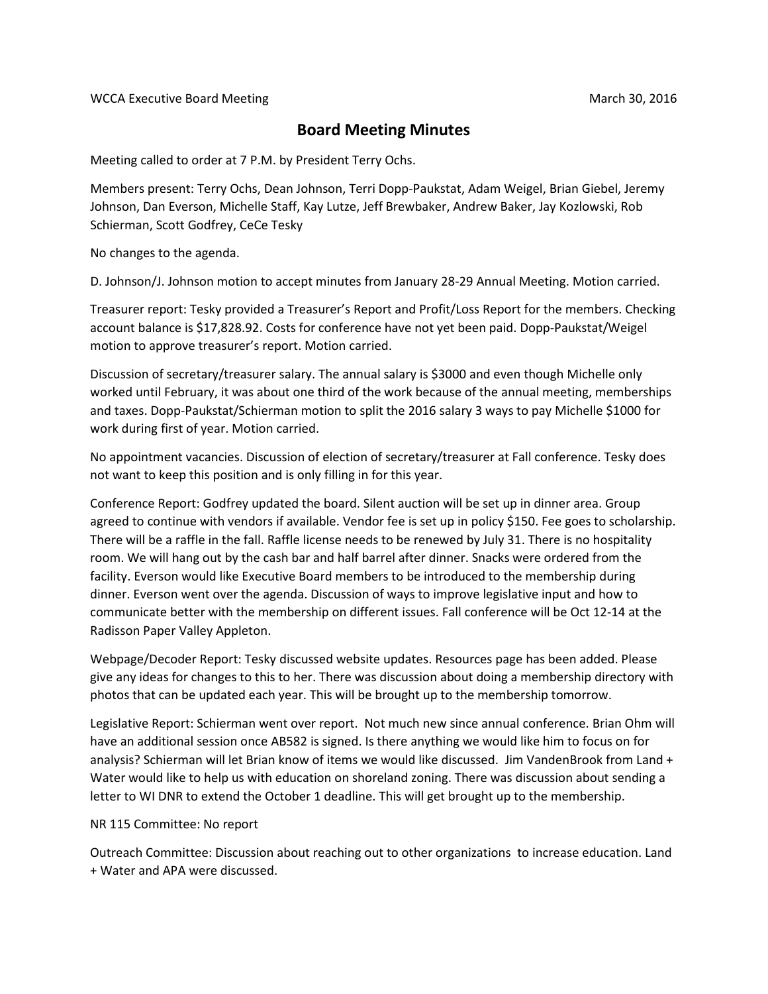## **Board Meeting Minutes**

Meeting called to order at 7 P.M. by President Terry Ochs.

Members present: Terry Ochs, Dean Johnson, Terri Dopp-Paukstat, Adam Weigel, Brian Giebel, Jeremy Johnson, Dan Everson, Michelle Staff, Kay Lutze, Jeff Brewbaker, Andrew Baker, Jay Kozlowski, Rob Schierman, Scott Godfrey, CeCe Tesky

No changes to the agenda.

D. Johnson/J. Johnson motion to accept minutes from January 28-29 Annual Meeting. Motion carried.

Treasurer report: Tesky provided a Treasurer's Report and Profit/Loss Report for the members. Checking account balance is \$17,828.92. Costs for conference have not yet been paid. Dopp-Paukstat/Weigel motion to approve treasurer's report. Motion carried.

Discussion of secretary/treasurer salary. The annual salary is \$3000 and even though Michelle only worked until February, it was about one third of the work because of the annual meeting, memberships and taxes. Dopp-Paukstat/Schierman motion to split the 2016 salary 3 ways to pay Michelle \$1000 for work during first of year. Motion carried.

No appointment vacancies. Discussion of election of secretary/treasurer at Fall conference. Tesky does not want to keep this position and is only filling in for this year.

Conference Report: Godfrey updated the board. Silent auction will be set up in dinner area. Group agreed to continue with vendors if available. Vendor fee is set up in policy \$150. Fee goes to scholarship. There will be a raffle in the fall. Raffle license needs to be renewed by July 31. There is no hospitality room. We will hang out by the cash bar and half barrel after dinner. Snacks were ordered from the facility. Everson would like Executive Board members to be introduced to the membership during dinner. Everson went over the agenda. Discussion of ways to improve legislative input and how to communicate better with the membership on different issues. Fall conference will be Oct 12-14 at the Radisson Paper Valley Appleton.

Webpage/Decoder Report: Tesky discussed website updates. Resources page has been added. Please give any ideas for changes to this to her. There was discussion about doing a membership directory with photos that can be updated each year. This will be brought up to the membership tomorrow.

Legislative Report: Schierman went over report. Not much new since annual conference. Brian Ohm will have an additional session once AB582 is signed. Is there anything we would like him to focus on for analysis? Schierman will let Brian know of items we would like discussed. Jim VandenBrook from Land + Water would like to help us with education on shoreland zoning. There was discussion about sending a letter to WI DNR to extend the October 1 deadline. This will get brought up to the membership.

## NR 115 Committee: No report

Outreach Committee: Discussion about reaching out to other organizations to increase education. Land + Water and APA were discussed.